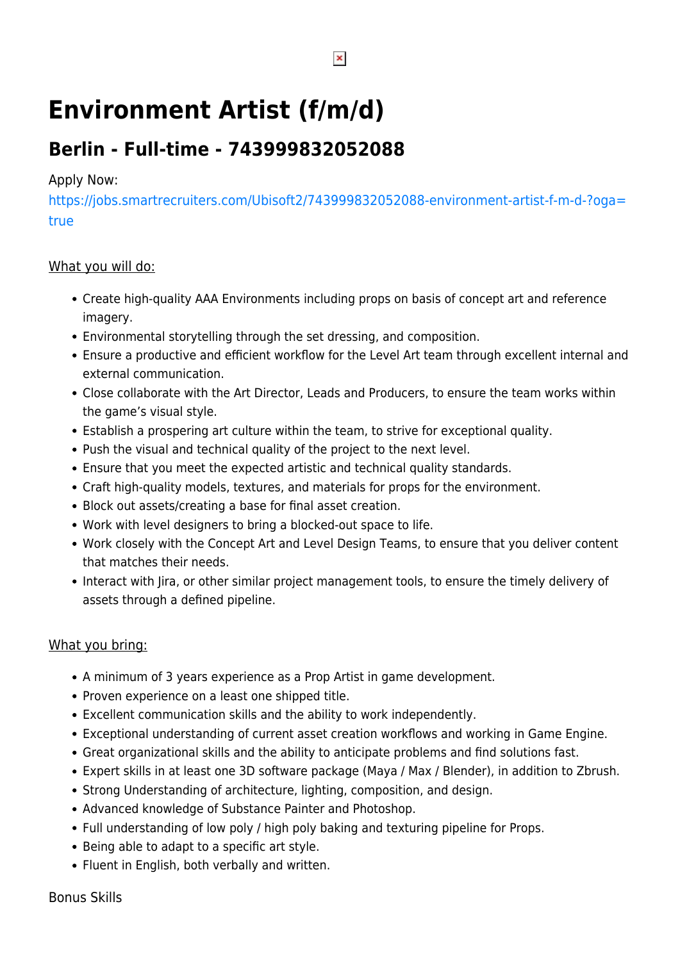# **Environment Artist (f/m/d)**

# **Berlin - Full-time - 743999832052088**

### Apply Now:

[https://jobs.smartrecruiters.com/Ubisoft2/743999832052088-environment-artist-f-m-d-?oga=](https://jobs.smartrecruiters.com/Ubisoft2/743999832052088-environment-artist-f-m-d-?oga=true) [true](https://jobs.smartrecruiters.com/Ubisoft2/743999832052088-environment-artist-f-m-d-?oga=true)

### What you will do:

- Create high-quality AAA Environments including props on basis of concept art and reference imagery.
- Environmental storytelling through the set dressing, and composition.
- Ensure a productive and efficient workflow for the Level Art team through excellent internal and external communication.
- Close collaborate with the Art Director, Leads and Producers, to ensure the team works within the game's visual style.
- Establish a prospering art culture within the team, to strive for exceptional quality.
- Push the visual and technical quality of the project to the next level.
- Ensure that you meet the expected artistic and technical quality standards.
- Craft high-quality models, textures, and materials for props for the environment.
- Block out assets/creating a base for final asset creation.
- Work with level designers to bring a blocked-out space to life.
- Work closely with the Concept Art and Level Design Teams, to ensure that you deliver content that matches their needs.
- Interact with Jira, or other similar project management tools, to ensure the timely delivery of assets through a defined pipeline.

#### What you bring:

- A minimum of 3 years experience as a Prop Artist in game development.
- Proven experience on a least one shipped title.
- Excellent communication skills and the ability to work independently.
- Exceptional understanding of current asset creation workflows and working in Game Engine.
- Great organizational skills and the ability to anticipate problems and find solutions fast.
- Expert skills in at least one 3D software package (Maya / Max / Blender), in addition to Zbrush.
- Strong Understanding of architecture, lighting, composition, and design.
- Advanced knowledge of Substance Painter and Photoshop.
- Full understanding of low poly / high poly baking and texturing pipeline for Props.
- Being able to adapt to a specific art style.
- Fluent in English, both verbally and written.

 $\pmb{\times}$